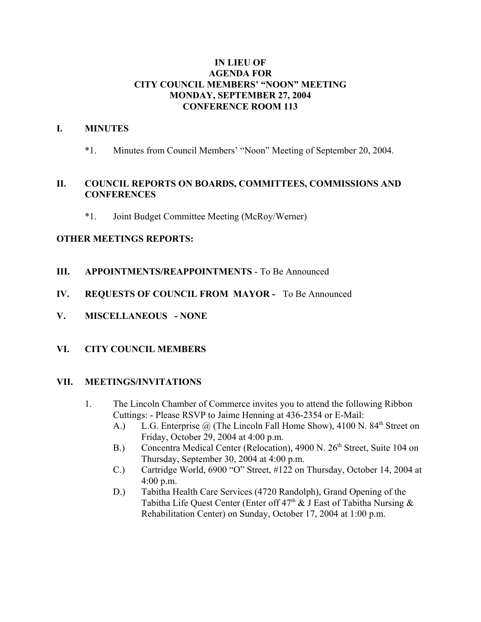## **IN LIEU OF AGENDA FOR CITY COUNCIL MEMBERS' "NOON" MEETING MONDAY, SEPTEMBER 27, 2004 CONFERENCE ROOM 113**

### **I. MINUTES**

\*1. Minutes from Council Members' "Noon" Meeting of September 20, 2004.

# **II. COUNCIL REPORTS ON BOARDS, COMMITTEES, COMMISSIONS AND CONFERENCES**

\*1. Joint Budget Committee Meeting (McRoy/Werner)

### **OTHER MEETINGS REPORTS:**

- **III. APPOINTMENTS/REAPPOINTMENTS** To Be Announced
- **IV. REQUESTS OF COUNCIL FROM MAYOR** To Be Announced
- **V. MISCELLANEOUS NONE**

# **VI. CITY COUNCIL MEMBERS**

#### **VII. MEETINGS/INVITATIONS**

- 1. The Lincoln Chamber of Commerce invites you to attend the following Ribbon Cuttings: - Please RSVP to Jaime Henning at 436-2354 or E-Mail:
	- A.) L.G. Enterprise  $\omega$  (The Lincoln Fall Home Show), 4100 N. 84<sup>th</sup> Street on Friday, October 29, 2004 at 4:00 p.m.
	- B.) Concentra Medical Center (Relocation), 4900 N. 26<sup>th</sup> Street, Suite 104 on Thursday, September 30, 2004 at 4:00 p.m.
	- C.) Cartridge World, 6900 "O" Street, #122 on Thursday, October 14, 2004 at 4:00 p.m.
	- D.) Tabitha Health Care Services (4720 Randolph), Grand Opening of the Tabitha Life Quest Center (Enter off  $47<sup>th</sup>$  & J East of Tabitha Nursing & Rehabilitation Center) on Sunday, October 17, 2004 at 1:00 p.m.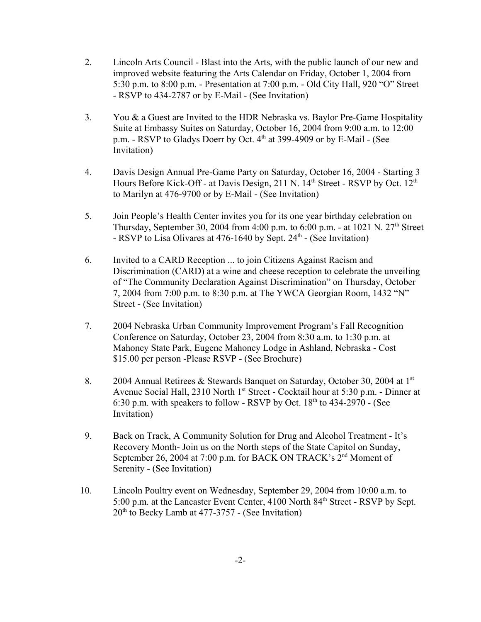- 2. Lincoln Arts Council Blast into the Arts, with the public launch of our new and improved website featuring the Arts Calendar on Friday, October 1, 2004 from 5:30 p.m. to 8:00 p.m. - Presentation at 7:00 p.m. - Old City Hall, 920 "O" Street - RSVP to 434-2787 or by E-Mail - (See Invitation)
- 3. You & a Guest are Invited to the HDR Nebraska vs. Baylor Pre-Game Hospitality Suite at Embassy Suites on Saturday, October 16, 2004 from 9:00 a.m. to 12:00 p.m. - RSVP to Gladys Doerr by Oct. 4<sup>th</sup> at 399-4909 or by E-Mail - (See Invitation)
- 4. Davis Design Annual Pre-Game Party on Saturday, October 16, 2004 Starting 3 Hours Before Kick-Off - at Davis Design, 211 N. 14<sup>th</sup> Street - RSVP by Oct. 12<sup>th</sup> to Marilyn at 476-9700 or by E-Mail - (See Invitation)
- 5. Join People's Health Center invites you for its one year birthday celebration on Thursday, September 30, 2004 from 4:00 p.m. to  $6:00$  p.m. - at 1021 N. 27<sup>th</sup> Street - RSVP to Lisa Olivares at  $476-1640$  by Sept.  $24<sup>th</sup>$  - (See Invitation)
- 6. Invited to a CARD Reception ... to join Citizens Against Racism and Discrimination (CARD) at a wine and cheese reception to celebrate the unveiling of "The Community Declaration Against Discrimination" on Thursday, October 7, 2004 from 7:00 p.m. to 8:30 p.m. at The YWCA Georgian Room, 1432 "N" Street - (See Invitation)
- 7. 2004 Nebraska Urban Community Improvement Program's Fall Recognition Conference on Saturday, October 23, 2004 from 8:30 a.m. to 1:30 p.m. at Mahoney State Park, Eugene Mahoney Lodge in Ashland, Nebraska - Cost \$15.00 per person -Please RSVP - (See Brochure)
- 8. 2004 Annual Retirees & Stewards Banquet on Saturday, October 30, 2004 at 1<sup>st</sup> Avenue Social Hall, 2310 North 1<sup>st</sup> Street - Cocktail hour at 5:30 p.m. - Dinner at 6:30 p.m. with speakers to follow - RSVP by Oct.  $18<sup>th</sup>$  to  $434-2970$  - (See Invitation)
- 9. Back on Track, A Community Solution for Drug and Alcohol Treatment It's Recovery Month- Join us on the North steps of the State Capitol on Sunday, September 26, 2004 at 7:00 p.m. for BACK ON TRACK's 2<sup>nd</sup> Moment of Serenity - (See Invitation)
- 10. Lincoln Poultry event on Wednesday, September 29, 2004 from 10:00 a.m. to 5:00 p.m. at the Lancaster Event Center, 4100 North 84<sup>th</sup> Street - RSVP by Sept.  $20<sup>th</sup>$  to Becky Lamb at 477-3757 - (See Invitation)